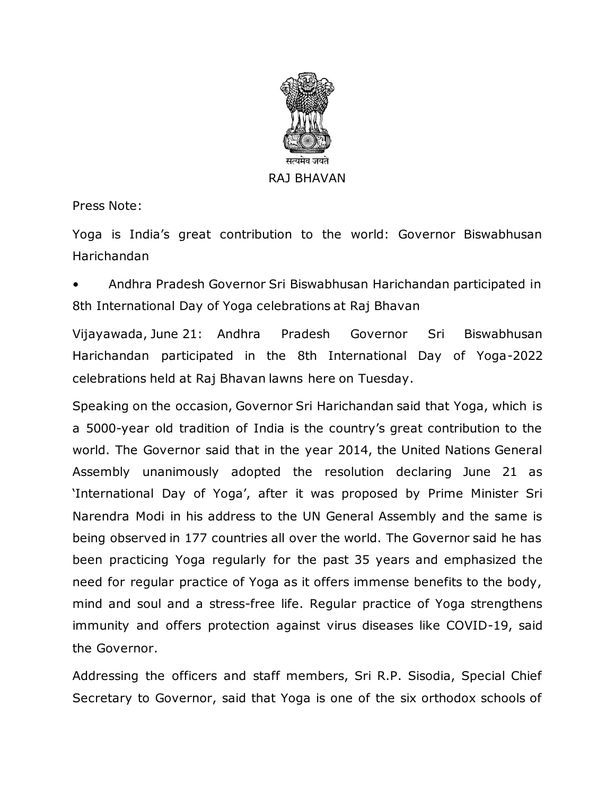

Press Note:

Yoga is India's great contribution to the world: Governor Biswabhusan Harichandan

• Andhra Pradesh Governor Sri Biswabhusan Harichandan participated in 8th International Day of Yoga celebrations at Raj Bhavan

Vijayawada, June 21: Andhra Pradesh Governor Sri Biswabhusan Harichandan participated in the 8th International Day of Yoga-2022 celebrations held at Raj Bhavan lawns here on Tuesday.

Speaking on the occasion, Governor Sri Harichandan said that Yoga, which is a 5000-year old tradition of India is the country's great contribution to the world. The Governor said that in the year 2014, the United Nations General Assembly unanimously adopted the resolution declaring June 21 as 'International Day of Yoga', after it was proposed by Prime Minister Sri Narendra Modi in his address to the UN General Assembly and the same is being observed in 177 countries all over the world. The Governor said he has been practicing Yoga regularly for the past 35 years and emphasized the need for regular practice of Yoga as it offers immense benefits to the body, mind and soul and a stress-free life. Regular practice of Yoga strengthens immunity and offers protection against virus diseases like COVID-19, said the Governor.

Addressing the officers and staff members, Sri R.P. Sisodia, Special Chief Secretary to Governor, said that Yoga is one of the six orthodox schools of